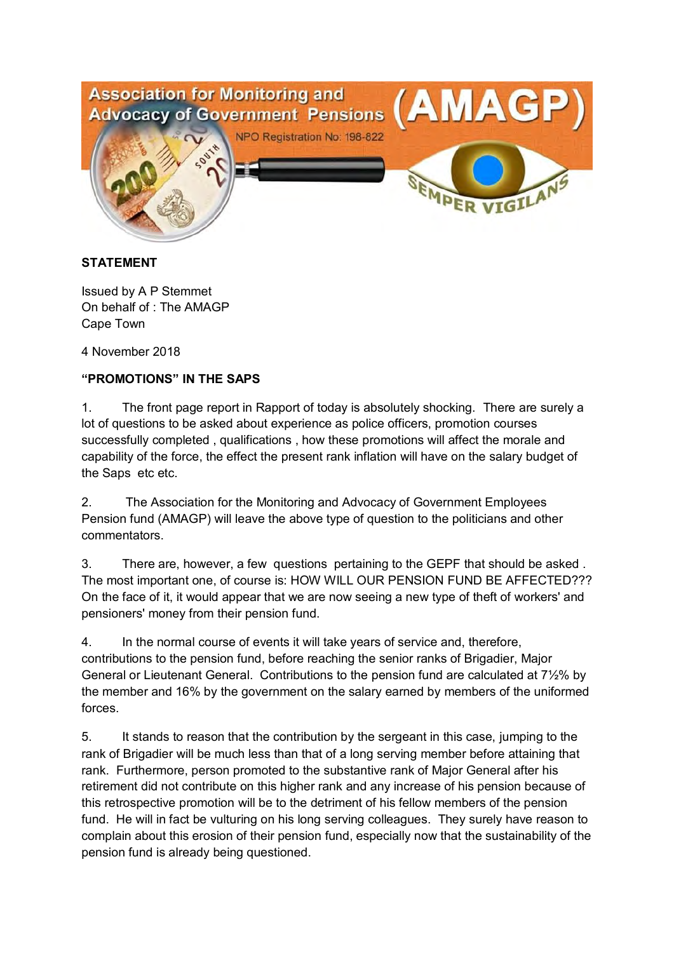

## **STATEMENT**

Issued by A P Stemmet On behalf of : The AMAGP Cape Town

4 November 2018

## **"PROMOTIONS" IN THE SAPS**

1. The front page report in Rapport of today is absolutely shocking. There are surely a lot of questions to be asked about experience as police officers, promotion courses successfully completed , qualifications , how these promotions will affect the morale and capability of the force, the effect the present rank inflation will have on the salary budget of the Saps etc etc.

2. The Association for the Monitoring and Advocacy of Government Employees Pension fund (AMAGP) will leave the above type of question to the politicians and other commentators.

3. There are, however, a few questions pertaining to the GEPF that should be asked . The most important one, of course is: HOW WILL OUR PENSION FUND BE AFFECTED??? On the face of it, it would appear that we are now seeing a new type of theft of workers' and pensioners' money from their pension fund.

4. In the normal course of events it will take years of service and, therefore, contributions to the pension fund, before reaching the senior ranks of Brigadier, Major General or Lieutenant General. Contributions to the pension fund are calculated at 7½% by the member and 16% by the government on the salary earned by members of the uniformed forces.

5. It stands to reason that the contribution by the sergeant in this case, jumping to the rank of Brigadier will be much less than that of a long serving member before attaining that rank. Furthermore, person promoted to the substantive rank of Major General after his retirement did not contribute on this higher rank and any increase of his pension because of this retrospective promotion will be to the detriment of his fellow members of the pension fund. He will in fact be vulturing on his long serving colleagues. They surely have reason to complain about this erosion of their pension fund, especially now that the sustainability of the pension fund is already being questioned.